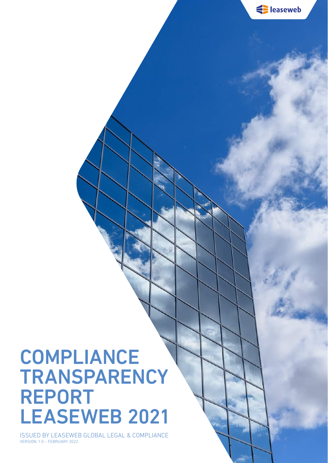

Suppose lease web

ISSUED BY LEASEWEB GLOBAL LEGAL & COMPLIANCE VERSION: 1.0 – FEBRUARY 2022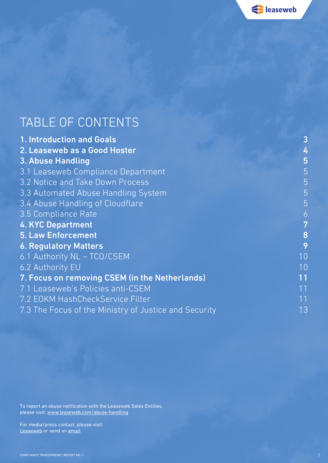Suppose lease web

### TABLE OF CONTENTS

| 1. Introduction and Goals                             | 3              |
|-------------------------------------------------------|----------------|
| 2. Leaseweb as a Good Hoster                          | 4              |
| 3. Abuse Handling                                     | 5              |
| 3.1 Leaseweb Compliance Department                    | 5              |
| 3.2 Notice and Take Down Process                      | 5              |
| 3.3 Automated Abuse Handling System                   | 5              |
| 3.4 Abuse Handling of Cloudflare                      | 5              |
| 3.5 Compliance Rate                                   | $\overline{6}$ |
| <b>4. KYC Department</b>                              | 7              |
| <b>5. Law Enforcement</b>                             | 8              |
| <b>6. Regulatory Matters</b>                          | 9              |
| 6.1 Authority NL - TCO/CSEM                           | 10             |
| 6.2 Authority EU                                      | 10             |
| 7. Focus on removing CSEM (in the Netherlands)        | 11             |
| 7.1 Leaseweb's Policies anti-CSEM                     | 11             |
| 7.2 EOKM HashCheckService Filter                      | 11             |
| 7.3 The Focus of the Ministry of Justice and Security | 13             |

To report an abuse notification with the Leaseweb Sales Entities, please visit: [www.leaseweb.com/abuse-handling](http://www.leaseweb.com/abuse-handling)

For media/press contact, please visit: [Leaseweb](https://www.leaseweb.com/contact) or send an [email](mailto:pr%40global.leaseweb.com?subject=Transparency%20Report%20%7C%20Press%20Contact)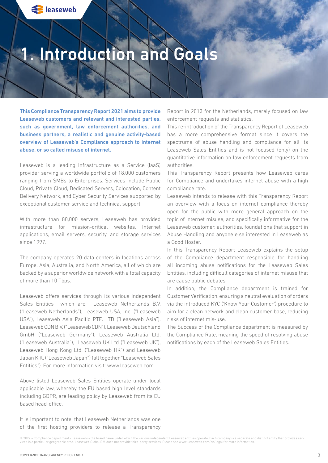### <span id="page-2-0"></span>1. Introduction and Goals

This Compliance Transparency Report 2021 aims to provide Leaseweb customers and relevant and interested parties, such as government, law enforcement authorities, and business partners, a realistic and genuine activity-based overview of Leaseweb's Compliance approach to internet abuse, or so called misuse of internet.

Leaseweb is a leading Infrastructure as a Service (IaaS) provider serving a worldwide portfolio of 18,000 customers ranging from SMBs to Enterprises. Services include Public Cloud, Private Cloud, Dedicated Servers, Colocation, Content Delivery Network, and Cyber Security Services supported by exceptional customer service and technical support.

With more than 80,000 servers, Leaseweb has provided infrastructure for mission-critical websites, Internet applications, email servers, security, and storage services since 1997.

The company operates 20 data centers in locations across Europe, Asia, Australia, and North America, all of which are backed by a superior worldwide network with a total capacity of more than 10 Tbps.

Leaseweb offers services through its various independent Sales Entities which are: Leaseweb Netherlands B.V. ("Leaseweb Netherlands"), Leaseweb USA, Inc. ("Leaseweb USA"), Leaseweb Asia Pacific PTE. LTD ("Leaseweb Asia"), Leaseweb CDN B.V. ("Leaseweb CDN"), Leaseweb Deutschland GmbH ("Leaseweb Germany"), Leaseweb Australia Ltd. ("Leaseweb Australia"), Leaseweb UK Ltd ("Leaseweb UK"), Leaseweb Hong Kong Ltd. ("Leaseweb HK") and Leaseweb Japan K.K. ("Leaseweb Japan") (all together "Leaseweb Sales Entities"). For more information visit: www.leaseweb.com.

Above listed Leaseweb Sales Entities operate under local applicable law, whereby the EU based high level standards including GDPR, are leading policy by Leaseweb from its EU based head-office.

It is important to note, that Leaseweb Netherlands was one of the first hosting providers to release a Transparency Report in 2013 for the Netherlands, merely focused on law enforcement requests and statistics.

This re-introduction of the Transparency Report of Leaseweb has a more comprehensive format since it covers the spectrums of abuse handling and compliance for all its Leaseweb Sales Entities and is not focused (only) on the quantitative information on law enforcement requests from authorities.

This Transparency Report presents how Leaseweb cares for Compliance and undertakes internet abuse with a high compliance rate.

Leaseweb intends to release with this Transparency Report an overview with a focus on internet compliance thereby open for the public with more general approach on the topic of internet misuse, and specifically informative for the Leaseweb customer, authorities, foundations that support in Abuse Handling and anyone else interested in Leaseweb as a Good Hoster.

In this Transparency Report Leaseweb explains the setup of the Compliance department responsible for handling all incoming abuse notifications for the Leaseweb Sales Entities, including difficult categories of internet misuse that are cause public debates.

In addition, the Compliance department is trained for Customer Verification, ensuring a neutral evaluation of orders via the introduced KYC ('Know Your Customer') procedure to aim for a clean network and clean customer base, reducing risks of internet mis-use.

The Success of the Compliance department is measured by the Compliance Rate, meaning the speed of resolving abuse notifications by each of the Leaseweb Sales Entities.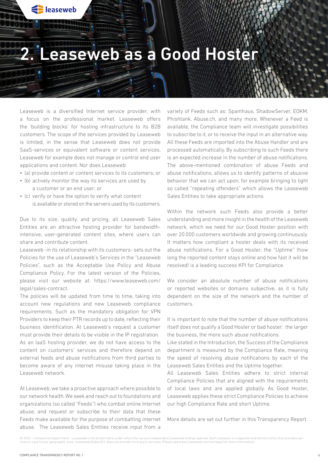### 2. Leaseweb as a Good Hoster

Leaseweb is a diversified Internet service provider, with a focus on the professional market. Leaseweb offers the 'building blocks' for hosting infrastructure to its B2B customers. The scope of the services provided by Leaseweb is limited, in the sense that Leaseweb does not provide SaaS-services or equivalent software or content services. Leaseweb for example does not manage or control end user applications and content. Nor does Leaseweb:

<span id="page-3-0"></span>Sulleaseweb

- (a) provide content or content services to its customers; or
- (b) actively monitor the way its services are used by a customer or an end user; or
- (c) verify or have the option to verify what content is available or stored on the servers used by its customers.

Due to its size, quality, and pricing, all Leaseweb Sales Entities are an attractive hosting provider for bandwidthintensive, user-generated content sites, where users can share and contribute content.

Leaseweb -in its relationship with its customers- sets out the Policies for the use of Leaseweb's Services in the "Leaseweb Policies", such as the Acceptable Use Policy and Abuse Compliance Policy. For the latest version of the Policies, please visit our website at: https://www.leaseweb.com/ legal/sales-contract.

The policies will be updated from time to time, taking into account new regulations and new Leaseweb compliance requirements. Such as the mandatory obligation for VPN Providers to keep their PTR records up to date, reflecting their business identification. At Leaseweb's request a customer must provide their details to be visible in the IP registration. As an IaaS hosting provider, we do not have access to the content on customers' services and therefore depend on external feeds and abuse notifications from third parties to become aware of any internet misuse taking place in the Leaseweb network.

At Leaseweb, we take a proactive approach where possible to our network health. We seek and reach out to foundations and organizations (so called "Feeds") who combat online Internet abuse, and request or subscribe to their data that these Feeds make available for the purpose of combatting internet abuse. The Leaseweb Sales Entities receive input from a

variety of Feeds such as: Spamhaus, ShadowServer, EOKM, Phishtank, Abuse.ch, and many more. Whenever a Feed is available, the Compliance team will investigate possibilities to subscribe to it, or to receive the input in an alternative way. All these Feeds are imported into the Abuse Handler and are processed automatically. By subscribing to such Feeds there is an expected increase in the number of abuse notifications. The above-mentioned combination of abuse Feeds and abuse notifications, allows us to identify patterns of abusive behavior that we can act upon, for example bringing to light so called "repeating offenders" which allows the Leaseweb Sales Entities to take appropriate actions.

Within the network such Feeds also provide a better understanding and more insight in the health of the Leaseweb network, which we need for our Good Hoster position with over 20.000 customers worldwide and growing continuously. It matters how compliant a hoster deals with its received abuse notifications. For a Good Hoster, the "Uptime" (how long the reported content stays online and how fast it will be resolved) is a leading success KPI for Compliance.

We consider an absolute number of abuse notifications or reported websites or domains subjective, as it is fully dependent on the size of the network and the number of customers.

It is important to note that the number of abuse notifications itself does not qualify a Good Hoster or bad hoster: the larger the business, the more such abuse notifications.

Like stated in the Introduction, the Success of the Compliance department is measured by the Compliance Rate, meaning the speed of resolving abuse notifications by each of the Leaseweb Sales Entities and the Uptime together.

All Leaseweb Sales Entities adhere to strict internal Compliance Policies that are aligned with the requirements of local laws and are applied globally. As Good Hoster, Leaseweb applies these strict Compliance Policies to achieve our high Compliance Rate and short Uptime.

More details are set out further in this Transparency Report.

<sup>© 2022 –</sup> Compliance department - Leaseweb is the brand name under which the various independent Leaseweb entities operate. Each company is a separate and distinct entity that provides services in a particular geographic area. Leaseweb Global B.V. does not provide third-party services. Please see www.Leaseweb.com/en/legal for more information.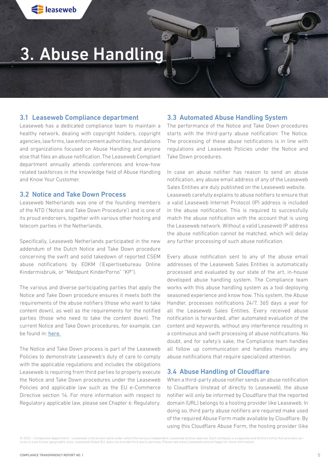# <span id="page-4-0"></span>3. Abuse Handling

#### 3.1 Leaseweb Compliance department

Leaseweb has a dedicated compliance team to maintain a healthy network, dealing with copyright holders, copyright agencies, law firms, law enforcement authorities, foundations and organizations focused on Abuse Handling and anyone else that files an abuse notification. The Leaseweb Compliant department annually attends conferences and know-how related taskforces in the knowledge field of Abuse Handling and Know Your Customer.

#### 3.2 Notice and Take Down Process

Leaseweb Netherlands was one of the founding members of the NTD ('Notice and Take Down Procedure') and is one of its proud endorsers, together with various other hosting and telecom parties in the Netherlands.

Specifically, Leaseweb Netherlands participated in the new addendum of the Dutch Notice and Take Down procedure concerning the swift and solid takedown of reported CSEM abuse notifications by EOKM ('Expertisebureau Online Kindermisbruik, or "Meldpunt KinderPorno" "KP").

The various and diverse participating parties that apply the Notice and Take Down procedure ensures it meets both the requirements of the abuse notifiers (those who want to take content down), as well as the requirements for the notified parties (those who need to take the content down). The current Notice and Take Down procedures, for example, can be found in: [here.](https://noticeandtakedowncode.nl)

The Notice and Take Down process is part of the Leaseweb Policies to demonstrate Leaseweb's duty of care to comply with the applicable regulations and includes the obligations Leaseweb is requiring from third parties to properly execute the Notice and Take Down procedures under the Leaseweb Policies and applicable law such as the EU e-Commerce Directive section 14. For more information with respect to Regulatory applicable law, please see Chapter 6: Regulatory.

#### 3.3 Automated Abuse Handling System

The performance of the Notice and Take Down procedures starts with the third-party abuse notification: The Notice. The processing of these abuse notifications is in line with regulations and Leaseweb Policies under the Notice and Take Down procedures.

In case an abuse notifier has reason to send an abuse notification, any abuse email address of any of the Leaseweb Sales Entities are duly published on the Leaseweb website. Leaseweb carefully explains to abuse notifiers to ensure that a valid Leaseweb Internet Protocol (IP) address is included in the abuse notification. This is required to successfully match the abuse notification with the account that is using the Leaseweb network. Without a valid Leaseweb IP address the abuse notification cannot be matched, which will delay any further processing of such abuse notification.

Every abuse notification sent to any of the abuse email addresses of the Leaseweb Sales Entities is automatically processed and evaluated by our state of the art, in-house developed abuse handling system. The Compliance team works with this abuse handling system as a tool deploying seasoned experience and know how. This system, the Abuse Handler, processes notifications 24/7, 365 days a year for all the Leaseweb Sales Entities. Every received abuse notification is forwarded, after automated evaluation of the content and keywords, without any interference resulting in a continuous and swift processing of abuse notifications. No doubt, and for safety's sake, the Compliance team handles all follow up communication and handles manually any abuse notifications that require specialized attention.

### 3.4 Abuse Handling of Cloudflare

When a third-party abuse notifier sends an abuse notification to Cloudflare (instead of directly to Leaseweb), the abuse notifier will only be informed by Cloudflare that the reported domain (URL) belongs to a hosting provider like Leaseweb. In doing so, third party abuse notifiers are required make used of the required Abuse Form made available by Cloudflare. By using this Cloudflare Abuse Form, the hosting provider (like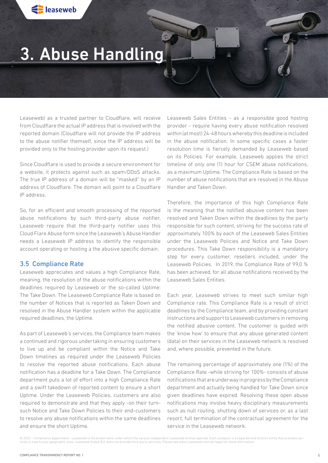### <span id="page-5-0"></span>3. Abuse Handling

Leaseweb) as a trusted partner to Cloudflare, will receive from Cloudflare the actual IP address that is involved with the reported domain (Cloudflare will not provide the IP address to the abuse notifier themself, since the IP address will be provided only to the hosting provider upon its request.)

Since Cloudflare is used to provide a secure environment for a website, it protects against such as spam/DDoS attacks. The true IP address of a domain will be "masked" by an IP address of Cloudflare. The domain will point to a Cloudflare IP address.

So, for an efficient and smooth processing of the reported abuse notifications by such third-party abuse notifier, Leaseweb require that the third-party notifier uses this Cloud Flare Abuse form since the Leaseweb's Abuse Handler needs a Leaseweb IP address to identify the responsible account operating or hosting a the abusive specific domain.

#### 3.5 Compliance Rate

Leaseweb appreciates and values a high Compliance Rate, meaning, the resolution of the abuse notifications within the deadlines required by Leaseweb or the so-called Uptime: The Take Down. The Leaseweb Compliance Rate is based on the number of Notices that is reported as Taken Down and resolved in the Abuse Handler system within the applicable required deadlines, the Uptime.

As part of Leaseweb's services, the Compliance team makes a continued and rigorous undertaking in ensuring customers to live up and be compliant within the Notice and Take Down timelines as required under the Leaseweb Policies to resolve the reported abuse notifications. Each abuse notification has a deadline for a Take Down. The Compliance department puts a lot of effort into a high Compliance Rate and a swift takedown of reported content to ensure a short Uptime. Under the Leaseweb Policies, customers are also required to demonstrate and that they apply -on their turnsuch Notice and Take Down Policies to their end-customers to resolve any abuse notifications within the same deadlines and ensure the short Uptime.

Leaseweb Sales Entities - as a responsible good hosting provider - require having every abuse notification resolved within (at most) 24-48 hours whereby this deadline is included in the abuse notification. In some specific cases a faster resolution time is fiercely demanded by Leaseweb based on its Policies. For example, Leaseweb applies the strict timeline of only one (1) hour for CSEM abuse notifications, as a maximum Uptime. The Compliance Rate is based on the number of abuse notifications that are resolved in the Abuse Handler and Taken Down.

Therefore, the importance of this high Compliance Rate is the meaning that the notified abusive content has been resolved and Taken Down within the deadlines by the party responsible for such content, striving for the success rate of approximately 100% by each of the Leaseweb Sales Entities under the Leaseweb Policies and Notice and Take Down procedures. This Take Down responsibility is a mandatory step for every customer, resellers included, under the Leaseweb Policies. In 2019, the Compliance Rate of 99,0 % has been achieved, for all abuse notifications received by the Leaseweb Sales Entities.

Each year, Leaseweb strives to meet such similar high Compliance rate. This Compliance Rate is a result of strict deadlines by the Compliance team, and by providing constant instructions and support to Leaseweb customers in removing the notified abusive content. The customer is guided with the 'know how' to ensure that any abuse generated content (data) on their services in the Leaseweb network is resolved and, where possible, prevented in the future.

The remaining percentage of approximately one (1%) of the Compliance Rate -while striving for 100%- consists of abuse notifications that are underway in progress by the Compliance department and actually being handled for Take Down since given deadlines have expired. Resolving these open abuse notifications may involve heavy disciplinary measurements such as null routing, shutting down of services or, as a last resort, full termination of the contractual agreement for the service in the Leaseweb network.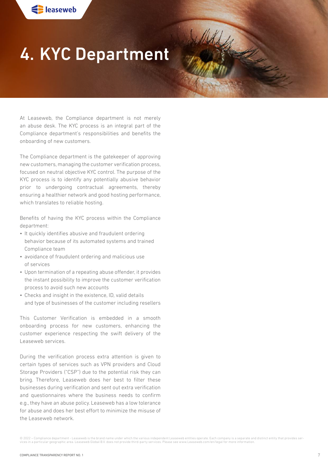# <span id="page-6-0"></span>4. KYC Department

Jeffeld 1

At Leaseweb, the Compliance department is not merely an abuse desk. The KYC process is an integral part of the Compliance department's responsibilities and benefits the onboarding of new customers.

The Compliance department is the gatekeeper of approving new customers, managing the customer verification process, focused on neutral objective KYC control. The purpose of the KYC process is to identify any potentially abusive behavior prior to undergoing contractual agreements, thereby ensuring a healthier network and good hosting performance, which translates to reliable hosting.

Benefits of having the KYC process within the Compliance department:

- It quickly identifies abusive and fraudulent ordering behavior because of its automated systems and trained Compliance team
- avoidance of fraudulent ordering and malicious use of services
- Upon termination of a repeating abuse offender, it provides the instant possibility to improve the customer verification process to avoid such new accounts
- Checks and insight in the existence, ID, valid details and type of businesses of the customer including resellers

This Customer Verification is embedded in a smooth onboarding process for new customers, enhancing the customer experience respecting the swift delivery of the Leaseweb services.

During the verification process extra attention is given to certain types of services such as VPN providers and Cloud Storage Providers ("CSP") due to the potential risk they can bring. Therefore, Leaseweb does her best to filter these businesses during verification and sent out extra verification and questionnaires where the business needs to confirm e.g., they have an abuse policy. Leaseweb has a low tolerance for abuse and does her best effort to minimize the misuse of the Leaseweb network.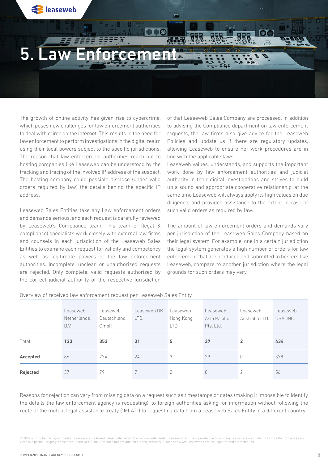<span id="page-7-0"></span>

The growth of online activity has given rise to cybercrime, which poses new challenges for law enforcement authorities to deal with crime on the internet. This results in the need for law enforcement to perform investigations in the digital realm using their local powers subject to the specific jurisdictions. The reason that law enforcement authorities reach out to hosting companies like Leaseweb can be understood by the tracking and tracing of the involved IP address of the suspect. The hosting company could possible disclose (under valid orders required by law) the details behind the specific IP address.

Leaseweb Sales Entities take any Law enforcement orders and demands serious, and each request is carefully reviewed by Leaseweb's Compliance team. This team of (legal & compliance) specialists work closely with external law firms and counsels in each jurisdiction of the Leaseweb Sales Entities to examine each request for validity and competency as well as legitimate powers of the law enforcement authorities. Incomplete, unclear, or unauthorized requests are rejected. Only complete, valid requests authorized by the correct judicial authority of the respective jurisdiction

of that Leaseweb Sales Company are processed. In addition to advising the Compliance department on law enforcement requests, the law firms also give advice for the Leaseweb Policies and update us if there are regulatory updates, allowing Leaseweb to ensure her work procedures are in line with the applicable laws.

Leaseweb values, understands, and supports the important work done by law enforcement authorities and judicial authority in their digital investigations and strives to build up a sound and appropriate cooperative relationship, at the same time Leaseweb will always apply its high values on due diligence, and provides assistance to the extent in case of such valid orders as required by law.

The amount of law enforcement orders and demands vary per jurisdiction of the Leaseweb Sales Company based on their legal system. For example, one in a certain jurisdiction the legal system generates a high number of orders for law enforcement that are produced and submitted to hosters like Leaseweb, compare to another jurisdiction where the legal grounds for such orders may vary.

|                 | Leaseweb<br>Netherlands<br>B.V. | Leaseweb<br>Deutschland<br>GmbH. | Leaseweb UK<br>LTD. | Leaseweb<br>Hong Kong<br>LTD. | Leaseweb<br>Asia Pacific<br>Pte. Ltd. | Leaseweb<br>Australia LTD. | Leaseweb<br>USA, INC. |
|-----------------|---------------------------------|----------------------------------|---------------------|-------------------------------|---------------------------------------|----------------------------|-----------------------|
| Total           | 123                             | 353                              | 31                  | 5                             | 37                                    | $\overline{2}$             | 434                   |
| Accepted        | 86                              | 274                              | 24                  | 3                             | 29                                    |                            | 378                   |
| <b>Rejected</b> | 37                              | 79                               |                     | $\mathcal{P}$                 | 8                                     | 2                          | 56                    |

Overview of received law enforcement request per Leaseweb Sales Entity

Reasons for rejection can vary from missing data on a request such as timestamps or dates (making it impossible to identify the details the law enforcement agency is requesting), to foreign authorities asking for information without following the route of the mutual legal assistance treaty ("MLAT") to requesting data from a Leaseweb Sales Entity in a different country.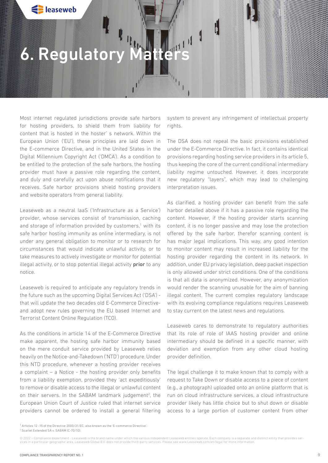### <span id="page-8-0"></span>6. Regulatory Matte

Most internet regulated jurisdictions provide safe harbors for hosting providers, to shield them from liability for content that is hosted in the hoster' s network. Within the European Union ('EU'), these principles are laid down in the E-commerce Directive, and in the United States in the Digital Millennium Copyright Act ('DMCA'). As a condition to be entitled to the protection of the safe harbors, the hosting provider must have a passive role regarding the content, and duly and carefully act upon abuse notifications that it receives. Safe harbor provisions shield hosting providers and website operators from general liability.

Leaseweb as a neutral IaaS ('Infrastructure as a Service') provider, whose services consist of transmission, caching and storage of information provided by customers,<sup>1</sup> with its safe harbor hosting immunity as online intermediary, is not under any general obligation to monitor or to research for circumstances that would indicate unlawful activity, or to take measures to actively investigate or monitor for potential illegal activity, or to stop potential illegal activity prior to any notice.

Leaseweb is required to anticipate any regulatory trends in the future such as the upcoming Digital Services Act ('DSA') that will update the two decades old E-Commerce Directiveand adopt new rules governing the EU based Internet and Terrorist Content Online Regulation (TCO).

As the conditions in article 14 of the E-Commerce Directive make apparent, the hosting safe harbor immunity based on the mere conduit service provided by Leaseweb relies heavily on the Notice-and-Takedown ('NTD') procedure. Under this NTD procedure, whenever a hosting provider receives a complaint – a Notice - the hosting provider only benefits from a liability exemption, provided they 'act expeditiously' to remove or disable access to the illegal or unlawful content on their servers. In the SABAM landmark judgement<sup>2</sup>, the European Union Court of Justice ruled that internet service providers cannot be ordered to install a general filtering

system to prevent any infringement of intellectual property rights.

 $\mathbf{F}_{\mathbf{p}_{\mathbf{p}_{\mathbf{p}_{\mathbf{p}_{\mathbf{p}_{\mathbf{p}}}}}}}$ 

The DSA does not repeal the basic provisions established under the E-Commerce Directive. In fact, it contains identical provisions regarding hosting service providers in its article 5, thus keeping the core of the current conditional intermediary liability regime untouched. However, it does incorporate new regulatory "layers", which may lead to challenging interpretation issues.

As clarified, a hosting provider can benefit from the safe harbor detailed above if it has a passive role regarding the content. However, if the hosting provider starts scanning content, it is no longer passive and may lose the protection offered by the safe harbor, therefor scanning content is has major legal implications. This way, any good intention to monitor content may result in increased liability for the hosting provider regarding the content in its network. In addition, under EU privacy legislation, deep packet inspection is only allowed under strict conditions. One of the conditions is that all data is anonymized. However, any anonymization would render the scanning unusable for the aim of banning illegal content. The current complex regulatory landscape with its evolving compliance regulations requires Leaseweb to stay current on the latest news and regulations.

Leaseweb cares to demonstrate to regulatory authorities that its role of role of IAAS hosting provider and online intermediary should be defined in a specific manner, with deviation and exemption from any other cloud hosting provider definition.

The legal challenge it to make known that to comply with a request to Take Down or disable access to a piece of content (e.g., a photograph) uploaded onto an online platform that is run on cloud infrastructure services, a cloud infrastructure provider likely has little choice but to shut down or disable access to a large portion of customer content from other

1 Articles 12 -15 of the Directive 2000/31/EC, also known as the 'E-commerce Directive'. 2 Scarlet Extended SA v. SABAM (C-70/10).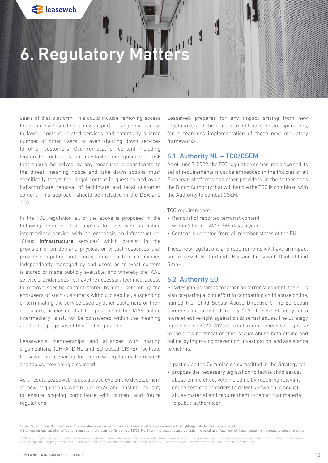## 6. Regulatory Matte

users of that platform. This could include removing access to an entire website (e.g., a newspaper), closing down access to lawful content, related services and potentially a large number of other users, or even shutting down services to other customers. Over-removal of content including legitimate content is an inevitable consequence or risk that should be solved by any measures proportionate to the threat, meaning notice and take down actions must specifically target the illegal content in question and avoid indiscriminate removal of legitimate and legal customer content. This approach should be included in the DSA and TCO.

In the TCO regulation all of the above is proposed in the following definition that applies to Leaseweb as online intermediary service with an emphasis on Infrastructure: "Cloud infrastructure services' which consist in the provision of on demand physical or virtual resources that provide computing and storage infrastructure capabilities independently managed by end users as to what content is stored or made publicly available, and whereby the IAAS service provider does not have the necessary technical access to remove specific content stored by end-users or by the end-users of such customers without disabling, suspending or terminating the service used by other customers or their end-users, proposing that the position of the IAAS online intermediary shall not be considered within the meaning and for the purposes of this TCO Regulation.

Leaseweb's memberships and alliances with hosting organizations (DHPA, DINL and EU based CISPE), facilitate Leaseweb in preparing for the new regulatory framework and topics, now being discussed.

As a result, Leaseweb keeps a close eye on the development of new regulations within our IAAS and hosting industry to ensure ongoing compliance with current and future regulations.

Leaseweb prepares for any impact arising from new regulations and the effect it might have on our operations, for a seamless implementation of these new regulatory frameworks.

### 6.1 Authority NL – TCO/CSEM

As of June 7, 2022, the TCO regulation comes into place and its set of requirements must be embedded in the Policies of all European platforms and other providers. In the Netherlands the Dutch Authority that will handle the TCO is combined with the Authority to combat CSEM.

TCO requirements:

- Removal of reported terrorist content within 1 hour  $-24/7$ , 365 days a year
- Content is reported from all member states of the EU

These new regulations and requirements will have an impact on Leaseweb Netherlands B.V. and Leaseweb Deutschland GmbH.

### 6.2 Authority EU

Besides joining forces together on terrorist content, the EU is also preparing a joint effort in combatting child abuse online, named the "Child Sexual Abuse Directive"3 . The European Commission published in July 2020 the EU Strategy for a more effective fight against child sexual abuse. The Strategy for the period 2020-2025 sets out a comprehensive response to the growing threat of child sexual abuse both offline and online, by improving prevention, investigation, and assistance to victims.

In particular, the Commission committed in the Strategy to:

• propose the necessary legislation to tackle child sexual abuse online effectively including by requiring relevant online services providers to detect known child sexual abuse material and require them to report that material to public authorities<sup>4</sup>

<sup>3</sup> https://ec.europa.eu/home-affairs/Policies/internal-security/child-sexual-abuse/eu-strategy-more-effective-fight-against-child-sexual-abuse\_nl 4 https://ec.europa.eu/info/law/better-regulation/have-your-say/initiatives/12726-Fighting-child-sexual-abuse-detection-removal-and-reporting-of-illegal-content-online/public-consultation\_en

<sup>© 2022 –</sup> Compliance department - Leaseweb is the brand name under which the various independent Leaseweb entities operate. Each company is a separate and distinct entity that provides ser vices in a particular geographic area. Leaseweb Global B.V. does not provide third-party services. Please see www.Leaseweb.com/en/legal for more information.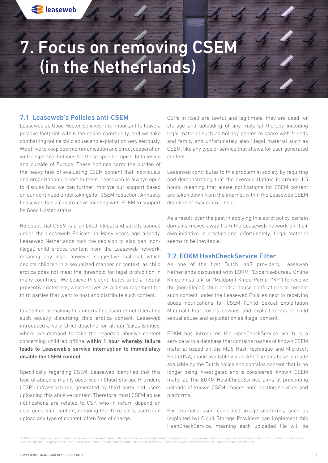# <span id="page-10-0"></span>7. Focus on removing CSEM (in the Netherlands)

### 7.1 Leaseweb's Policies anti-CSEM

Leaseweb as Good Hoster believes it is important to leave a positive footprint within the online community, and we take combatting online child abuse and exploitation very seriously. We strive to keep open communication and direct cooperation with respective hotlines for these specific topics, both inside and outside of Europe. These hotlines carry the burden of the heavy task of evaluating CSEM content that individuals and organizations report to them. Leaseweb is always open to discuss how we can further improve our support based on our continued undertakings for CSEM reduction. Annually Leaseweb has a constructive meeting with EOKM to support its Good Hoster status.

No doubt that CSEM is prohibited, illegal and strictly banned under the Leaseweb Policies. In Many years ago already, Leaseweb Netherlands took the decision to also ban (nonillegal) child erotica content from the Leaseweb network, meaning any legal however suggestive material, which depicts children in a sexualized manner or context, as child erotica does not meet the threshold for legal prohibition in many countries. We believe this contributes to be a helpful preventive deterrent, which serves as a discouragement for third parties that want to host and distribute such content.

In addition to making this internal decision of not tolerating such equally disturbing child erotica content, Leaseweb introduced a very strict deadline for all our Sales Entities, where we demand to take the reported abusive content concerning children offline within 1 hour whereby failure leads to Leaseweb's service interruption to immediately disable the CSEM content.

Specifically regarding CSEM, Leaseweb identified that this type of abuse is mainly observed in Cloud Storage Providers ('CSP') infrastructures, generated by third party end users uploading this abusive content. Therefore, most CSEM abuse notifications are related to CSP, who in return depend on user generated content, meaning that third party users can upload any type of content, often free of charge.

CSPs in itself are lawful and legitimate, they are used for storage and uploading of any material thereby including legal material such as holiday photos to share with friends and family and unfortunately also illegal material such as CSEM, like any type of service that allows for user generated content.

Leaseweb contributes to this problem in society by requiring and demonstrating that the average Uptime is around 1.5 hours, meaning that abuse notifications for CSEM content are taken down from the internet within the Leaseweb CSEM deadline of maximum 1 hour.

As a result, over the past in applying this strict policy, certain domains moved away from the Leaseweb network on their own initiative. In practice and unfortunately, illegal material seems to be inevitable.

### 7.2 EOKM HashCheckService Filter

As one of the first Dutch IaaS providers, Leaseweb Netherlands discussed with EOKM ('Expertisebureau Online Kindermisbruik, or "Meldpunt KinderPorno" "KP") to receive the (non-illegal) child erotica abuse notifications to combat such content under the Leaseweb Policies next to receiving abuse notifications for CSEM ('Child Sexual Exploitation Material') that covers obvious and explicit forms of child sexual abuse and exploitation as illegal content.

EOKM has introduced the HashCheckService which is a service with a database that contains hashes of known CSEM material based on the MD5 Hash technique and Microsoft PhotoDNA, made available via an API. The database is made available by the Dutch police and contains content that is no longer being investigated and is considered 'known' CSEM material. The EOKM HashCheckService aims at preventing uploads of known CSEM images onto hosting services and platforms.

For example, used generated image platforms, such as (exploited by) Cloud Storage Providers can implement this HashCheckService, meaning each uploaded file will be

<sup>© 2022 –</sup> Compliance department - Leaseweb is the brand name under which the various independent Leaseweb entities operate. Each company is a separate and distinct entity that provides services in a particular geographic area. Leaseweb Global B.V. does not provide third-party services. Please see www.Leaseweb.com/en/legal for more information.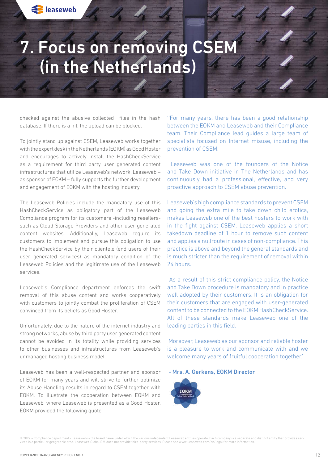# 7. Focus on removing CSEM (in the Netherlands)

checked against the abusive collected files in the hash database. If there is a hit, the upload can be blocked.

To jointly stand up against CSEM, Leaseweb works together with the expert desk in the Netherlands (EOKM) as Good Hoster and encourages to actively install the HashCheckService as a requirement for third party user generated content infrastructures that utilize Leaseweb's network. Leaseweb – as sponsor of EOKM – fully supports the further development and engagement of EOKM with the hosting industry.

The Leaseweb Policies include the mandatory use of this HashCheckService as obligatory part of the Leaseweb Compliance program for its customers -including resellerssuch as Cloud Storage Providers and other user generated content websites. Additionally, Leaseweb require its customers to implement and pursue this obligation to use the HashCheckService by their clientele (end users of their user generated services) as mandatory condition of the Leaseweb Policies and the legitimate use of the Leaseweb services.

Leaseweb's Compliance department enforces the swift removal of this abuse content and works cooperatively with customers to jointly combat the proliferation of CSEM convinced from its beliefs as Good Hoster.

Unfortunately, due to the nature of the internet industry and strong networks, abuse by third party user generated content cannot be avoided in its totality while providing services to other businesses and infrastructures from Leaseweb's unmanaged hosting business model.

Leaseweb has been a well-respected partner and sponsor of EOKM for many years and will strive to further optimize its Abuse Handling results in regard to CSEM together with EOKM. To illustrate the cooperation between EOKM and Leaseweb, where Leaseweb is presented as a Good Hoster, EOKM provided the following quote:

''For many years, there has been a good relationship between the EOKM and Leaseweb and their Compliance team. Their Compliance lead guides a large team of specialists focused on Internet misuse, including the prevention of CSEM.

 Leaseweb was one of the founders of the Notice and Take Down initiative in The Netherlands and has continuously had a professional, effective, and very proactive approach to CSEM abuse prevention.

Leaseweb's high compliance standards to prevent CSEM and going the extra mile to take down child erotica, makes Leaseweb one of the best hosters to work with in the fight against CSEM. Leaseweb applies a short takedown deadline of 1 hour to remove such content and applies a nullroute in cases of non-compliance. This practice is above and beyond the general standards and is much stricter than the requirement of removal within 24 hours.

 As a result of this strict compliance policy, the Notice and Take Down procedure is mandatory and in practice well adopted by their customers. It is an obligation for their customers that are engaged with user-generated content to be connected to the EOKM HashCheckService. All of these standards make Leaseweb one of the leading parties in this field.

 Moreover, Leaseweb as our sponsor and reliable hoster is a pleasure to work and communicate with and we welcome many years of fruitful cooperation together.'

- Mrs. A. Gerkens, EOKM Director

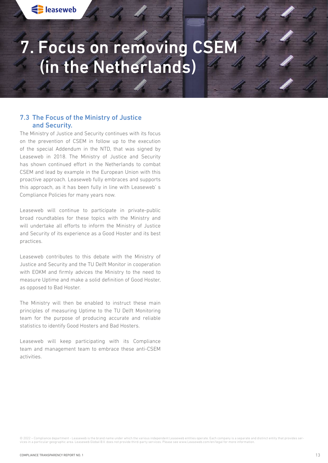## <span id="page-12-0"></span>7. Focus on removing CSEM (in the Netherlands)

### 7.3 The Focus of the Ministry of Justice and Security.

The Ministry of Justice and Security continues with its focus on the prevention of CSEM in follow up to the execution of the special Addendum in the NTD, that was signed by Leaseweb in 2018. The Ministry of Justice and Security has shown continued effort in the Netherlands to combat CSEM and lead by example in the European Union with this proactive approach. Leaseweb fully embraces and supports this approach, as it has been fully in line with Leaseweb' s Compliance Policies for many years now.

Leaseweb will continue to participate in private-public broad roundtables for these topics with the Ministry and will undertake all efforts to inform the Ministry of Justice and Security of its experience as a Good Hoster and its best practices.

Leaseweb contributes to this debate with the Ministry of Justice and Security and the TU Delft Monitor in cooperation with EOKM and firmly advices the Ministry to the need to measure Uptime and make a solid definition of Good Hoster, as opposed to Bad Hoster.

The Ministry will then be enabled to instruct these main principles of measuring Uptime to the TU Delft Monitoring team for the purpose of producing accurate and reliable statistics to identify Good Hosters and Bad Hosters.

Leaseweb will keep participating with its Compliance team and management team to embrace these anti-CSEM activities.